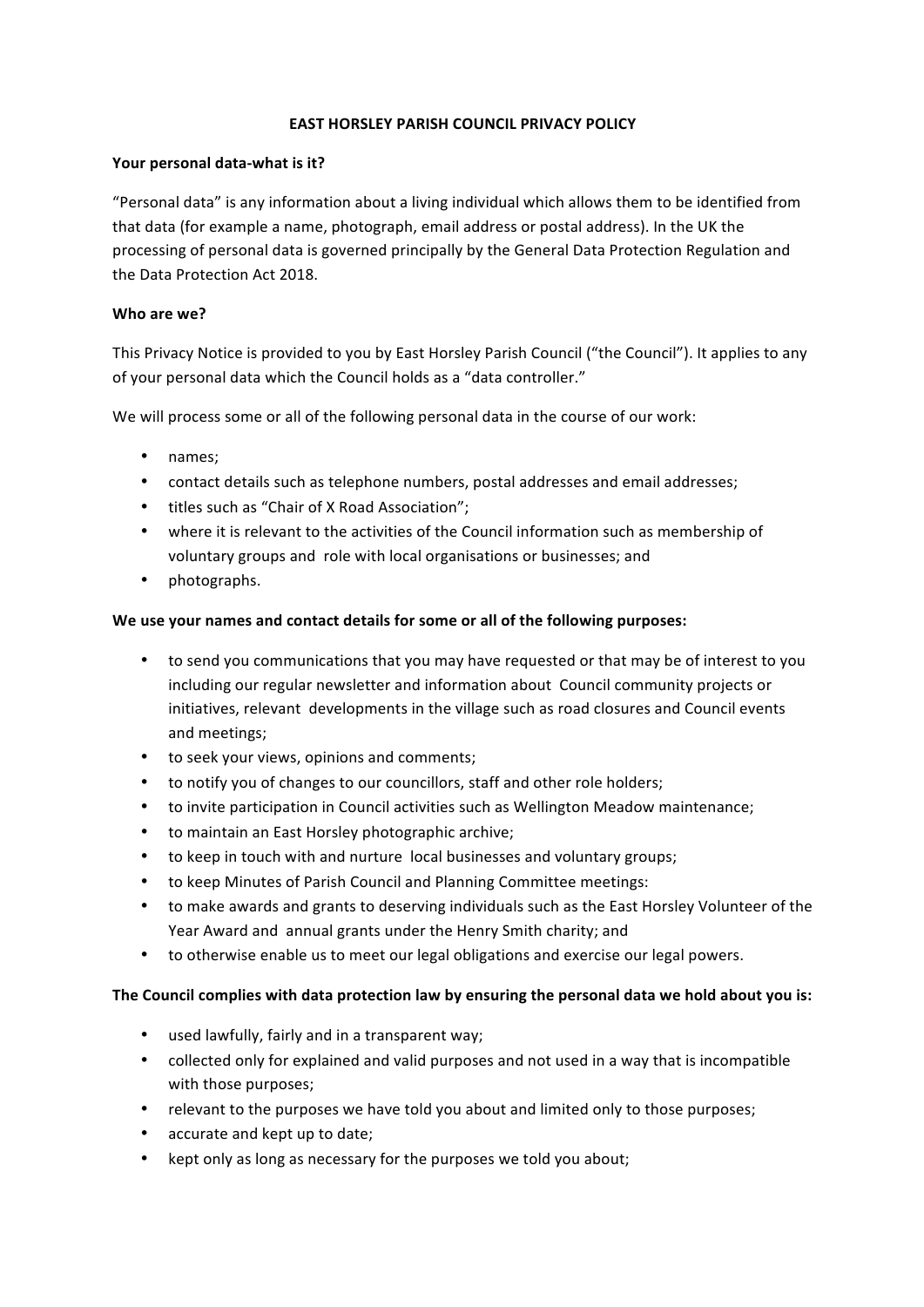### **EAST HORSLEY PARISH COUNCIL PRIVACY POLICY**

### Your personal data-what is it?

"Personal data" is any information about a living individual which allows them to be identified from that data (for example a name, photograph, email address or postal address). In the UK the processing of personal data is governed principally by the General Data Protection Regulation and the Data Protection Act 2018.

## Who are we?

This Privacy Notice is provided to you by East Horsley Parish Council ("the Council"). It applies to any of your personal data which the Council holds as a "data controller."

We will process some or all of the following personal data in the course of our work:

- names;
- contact details such as telephone numbers, postal addresses and email addresses;
- titles such as "Chair of X Road Association":
- where it is relevant to the activities of the Council information such as membership of voluntary groups and role with local organisations or businesses; and
- photographs.

## We use your names and contact details for some or all of the following purposes:

- to send you communications that you may have requested or that may be of interest to you including our regular newsletter and information about Council community projects or initiatives, relevant developments in the village such as road closures and Council events and meetings;
- to seek your views, opinions and comments:
- to notify you of changes to our councillors, staff and other role holders;
- to invite participation in Council activities such as Wellington Meadow maintenance;
- to maintain an East Horsley photographic archive:
- to keep in touch with and nurture local businesses and voluntary groups;
- to keep Minutes of Parish Council and Planning Committee meetings:
- to make awards and grants to deserving individuals such as the East Horsley Volunteer of the Year Award and annual grants under the Henry Smith charity; and
- to otherwise enable us to meet our legal obligations and exercise our legal powers.

# The Council complies with data protection law by ensuring the personal data we hold about you is:

- used lawfully, fairly and in a transparent way;
- collected only for explained and valid purposes and not used in a way that is incompatible with those purposes;
- relevant to the purposes we have told you about and limited only to those purposes;
- accurate and kept up to date;
- kept only as long as necessary for the purposes we told you about;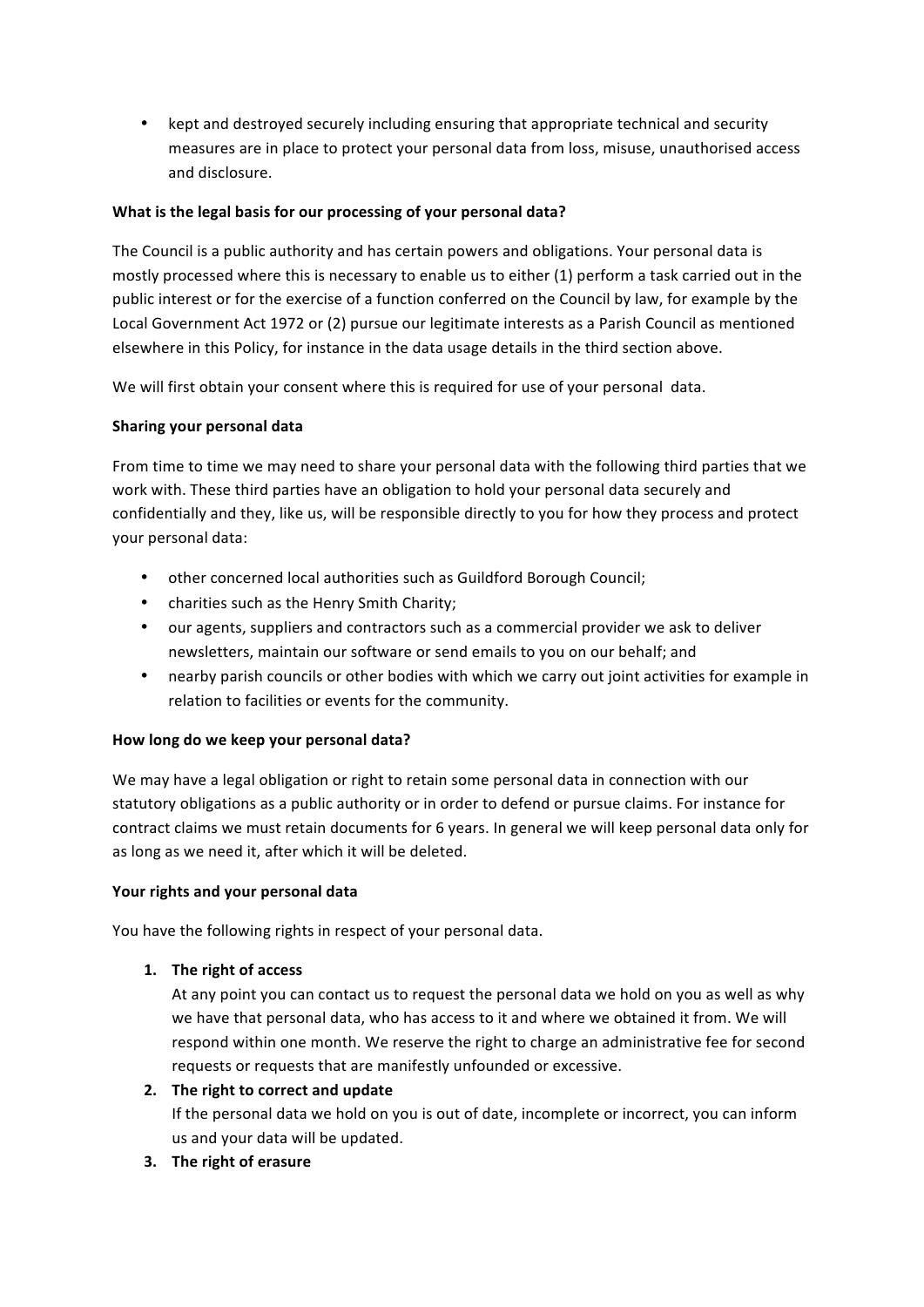• kept and destroyed securely including ensuring that appropriate technical and security measures are in place to protect your personal data from loss, misuse, unauthorised access and disclosure.

# What is the legal basis for our processing of your personal data?

The Council is a public authority and has certain powers and obligations. Your personal data is mostly processed where this is necessary to enable us to either (1) perform a task carried out in the public interest or for the exercise of a function conferred on the Council by law, for example by the Local Government Act 1972 or (2) pursue our legitimate interests as a Parish Council as mentioned elsewhere in this Policy, for instance in the data usage details in the third section above.

We will first obtain your consent where this is required for use of your personal data.

## **Sharing your personal data**

From time to time we may need to share your personal data with the following third parties that we work with. These third parties have an obligation to hold your personal data securely and confidentially and they, like us, will be responsible directly to you for how they process and protect your personal data:

- other concerned local authorities such as Guildford Borough Council;
- charities such as the Henry Smith Charity;
- our agents, suppliers and contractors such as a commercial provider we ask to deliver newsletters, maintain our software or send emails to you on our behalf; and
- nearby parish councils or other bodies with which we carry out joint activities for example in relation to facilities or events for the community.

# How long do we keep your personal data?

We may have a legal obligation or right to retain some personal data in connection with our statutory obligations as a public authority or in order to defend or pursue claims. For instance for contract claims we must retain documents for 6 years. In general we will keep personal data only for as long as we need it, after which it will be deleted.

### Your rights and your personal data

You have the following rights in respect of your personal data.

# 1. The right of access

At any point you can contact us to request the personal data we hold on you as well as why we have that personal data, who has access to it and where we obtained it from. We will respond within one month. We reserve the right to charge an administrative fee for second requests or requests that are manifestly unfounded or excessive.

# **2.** The right to correct and update

If the personal data we hold on you is out of date, incomplete or incorrect, you can inform us and your data will be updated.

**3.** The right of erasure